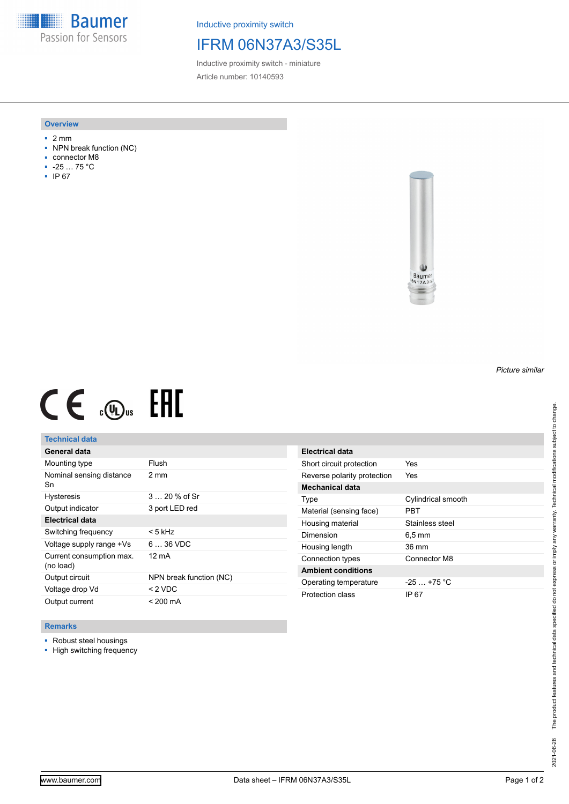**Baumer** Passion for Sensors

Inductive proximity switch

# IFRM 06N37A3/S35L

Inductive proximity switch - miniature Article number: 10140593

### **Overview**

- 2 mm
- NPN break function (NC)
- connector M8
- -25 … 75 °C
- IP 67



# $CE \mathcal{L}$  (Dus FRE

## **Technical data**

| General data                          |                         |
|---------------------------------------|-------------------------|
| Mounting type                         | Flush                   |
| Nominal sensing distance<br>Sn        | $2 \text{ mm}$          |
| <b>Hysteresis</b>                     | $320%$ of Sr            |
| Output indicator                      | 3 port LED red          |
| Electrical data                       |                         |
| Switching frequency                   | < 5 kHz                 |
| Voltage supply range +Vs              | $636$ VDC               |
| Current consumption max.<br>(no load) | 12 mA                   |
| Output circuit                        | NPN break function (NC) |
| Voltage drop Vd                       | < 2 VDC                 |
| Output current                        | $< 200 \text{ mA}$      |

| Electrical data             |                     |
|-----------------------------|---------------------|
| Short circuit protection    | Yes                 |
| Reverse polarity protection | Yes                 |
| Mechanical data             |                     |
| Type                        | Cylindrical smooth  |
| Material (sensing face)     | PRT                 |
| Housing material            | Stainless steel     |
| Dimension                   | $6.5 \,\mathrm{mm}$ |
| Housing length              | 36 mm               |
| Connection types            | Connector M8        |
| <b>Ambient conditions</b>   |                     |
| Operating temperature       | $-25 + 75$ °C       |
| Protection class            | IP 67               |

### **Remarks**

- Robust steel housings
- High switching frequency

*Picture similar*